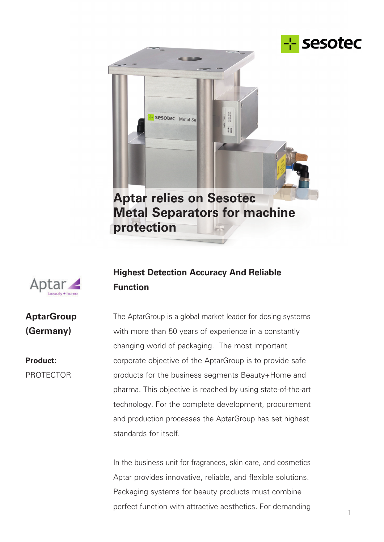



**protection**



**AptarGroup**

**(Germany)**

PROTECTOR

**Product:**

# **Highest Detection Accuracy And Reliable Function**

The AptarGroup is a global market leader for dosing systems with more than 50 years of experience in a constantly changing world of packaging. The most important corporate objective of the AptarGroup is to provide safe products for the business segments Beauty+Home and pharma. This objective is reached by using state-of-the-art technology. For the complete development, procurement and production processes the AptarGroup has set highest standards for itself.

In the business unit for fragrances, skin care, and cosmetics Aptar provides innovative, reliable, and flexible solutions. Packaging systems for beauty products must combine perfect function with attractive aesthetics. For demanding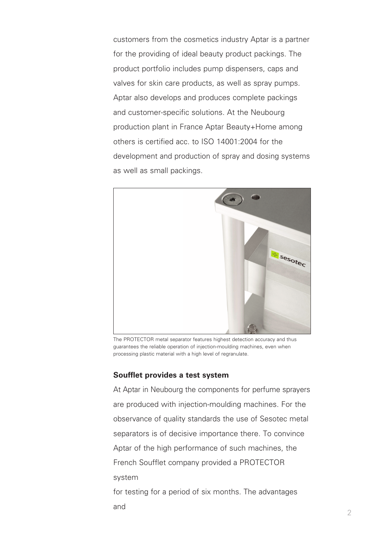customers from the cosmetics industry Aptar is a partner for the providing of ideal beauty product packings. The product portfolio includes pump dispensers, caps and valves for skin care products, as well as spray pumps. Aptar also develops and produces complete packings and customer-specific solutions. At the Neubourg production plant in France Aptar Beauty+Home among others is certified acc. to ISO 14001:2004 for the development and production of spray and dosing systems as well as small packings.



The PROTECTOR metal separator features highest detection accuracy and thus guarantees the reliable operation of injection-moulding machines, even when processing plastic material with a high level of regranulate.

#### **Soufflet provides a test system**

and

At Aptar in Neubourg the components for perfume sprayers are produced with injection-moulding machines. For the observance of quality standards the use of Sesotec metal separators is of decisive importance there. To convince Aptar of the high performance of such machines, the French Soufflet company provided a PROTECTOR system for testing for a period of six months. The advantages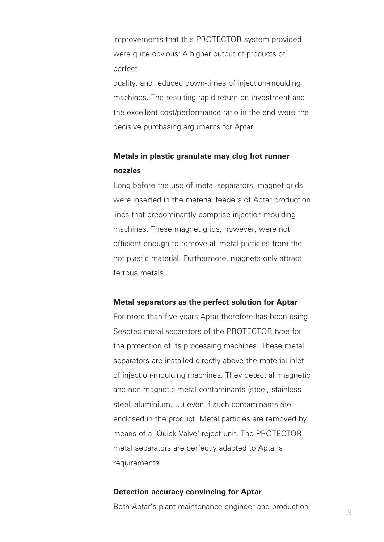improvements that this PROTECTOR system provided were quite obvious: A higher output of products of perfect

quality, and reduced down-times of injection-moulding machines. The resulting rapid return on investment and the excellent cost/performance ratio in the end were the decisive purchasing arguments for Aptar.

## **Metals in plastic granulate may clog hot runner nozzles**

Long before the use of metal separators, magnet grids were inserted in the material feeders of Aptar production lines that predominantly comprise injection-moulding machines. These magnet grids, however, were not efficient enough to remove all metal particles from the hot plastic material. Furthermore, magnets only attract ferrous metals.

### **Metal separators as the perfect solution for Aptar**

For more than five years Aptar therefore has been using Sesotec metal separators of the PROTECTOR type for the protection of its processing machines. These metal separators are installed directly above the material inlet of injection-moulding machines. They detect all magnetic and non-magnetic metal contaminants (steel, stainless steel, aluminium, …) even if such contaminants are enclosed in the product. Metal particles are removed by means of a "Quick Valve" reject unit. The PROTECTOR metal separators are perfectly adapted to Aptar's requirements.

#### **Detection accuracy convincing for Aptar**

Both Aptar's plant maintenance engineer and production  $\frac{3}{3}$